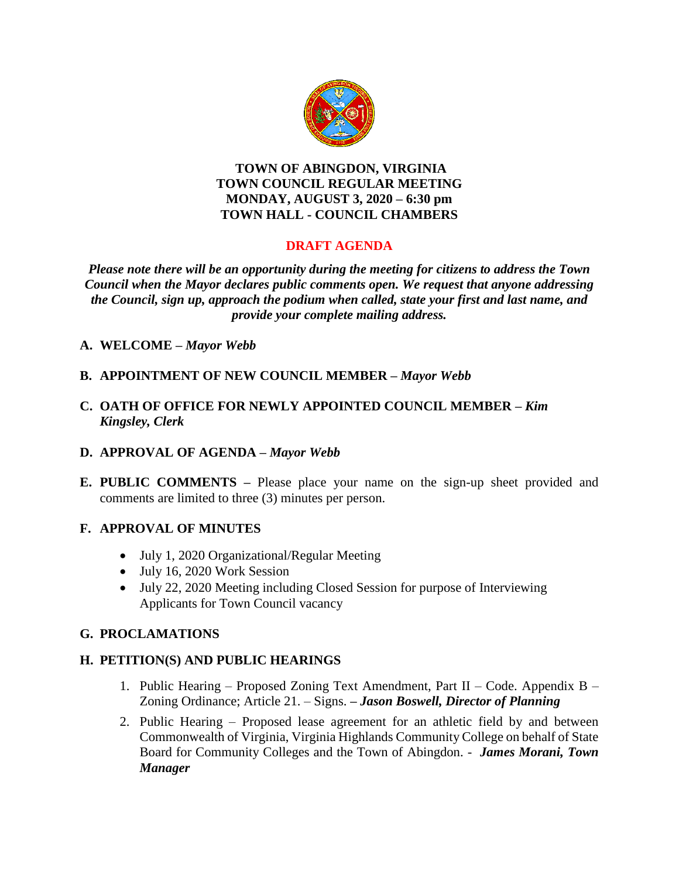

#### **TOWN OF ABINGDON, VIRGINIA TOWN COUNCIL REGULAR MEETING MONDAY, AUGUST 3, 2020 – 6:30 pm TOWN HALL - COUNCIL CHAMBERS**

# **DRAFT AGENDA**

*Please note there will be an opportunity during the meeting for citizens to address the Town Council when the Mayor declares public comments open. We request that anyone addressing the Council, sign up, approach the podium when called, state your first and last name, and provide your complete mailing address.*

- **A. WELCOME –** *Mayor Webb*
- **B. APPOINTMENT OF NEW COUNCIL MEMBER –** *Mayor Webb*
- **C. OATH OF OFFICE FOR NEWLY APPOINTED COUNCIL MEMBER –** *Kim Kingsley, Clerk*
- **D. APPROVAL OF AGENDA –** *Mayor Webb*
- **E. PUBLIC COMMENTS –** Please place your name on the sign-up sheet provided and comments are limited to three (3) minutes per person.

### **F. APPROVAL OF MINUTES**

- July 1, 2020 Organizational/Regular Meeting
- July 16, 2020 Work Session
- July 22, 2020 Meeting including Closed Session for purpose of Interviewing Applicants for Town Council vacancy

### **G. PROCLAMATIONS**

### **H. PETITION(S) AND PUBLIC HEARINGS**

- 1. Public Hearing Proposed Zoning Text Amendment, Part II Code. Appendix B Zoning Ordinance; Article 21. – Signs. **–** *Jason Boswell, Director of Planning*
- 2. Public Hearing Proposed lease agreement for an athletic field by and between Commonwealth of Virginia, Virginia Highlands Community College on behalf of State Board for Community Colleges and the Town of Abingdon. - *James Morani, Town Manager*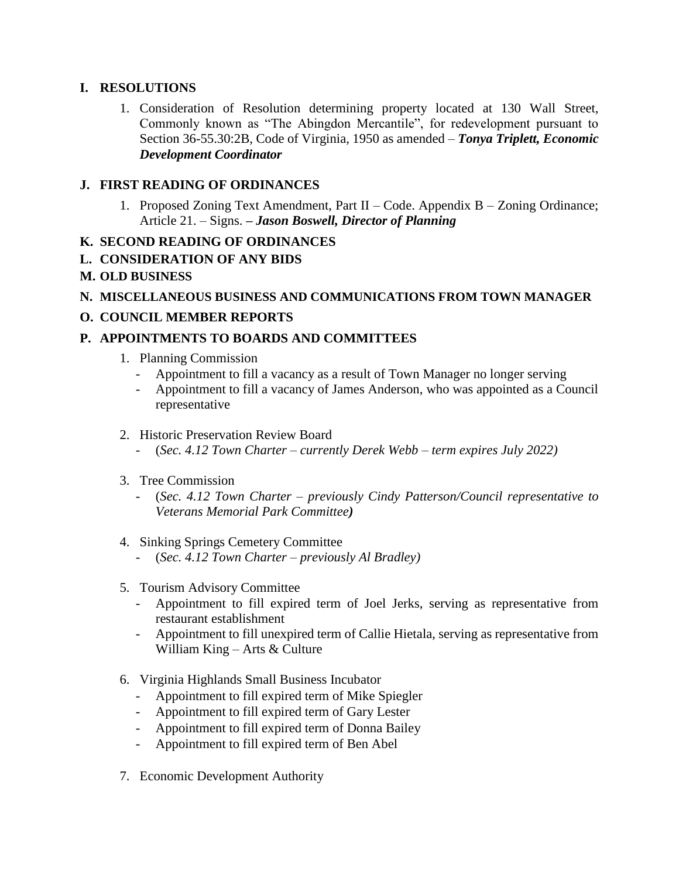### **I. RESOLUTIONS**

1. Consideration of Resolution determining property located at 130 Wall Street, Commonly known as "The Abingdon Mercantile", for redevelopment pursuant to Section 36-55.30:2B, Code of Virginia, 1950 as amended – *Tonya Triplett, Economic Development Coordinator*

# **J. FIRST READING OF ORDINANCES**

1. Proposed Zoning Text Amendment, Part II – Code. Appendix B – Zoning Ordinance; Article 21. – Signs. **–** *Jason Boswell, Director of Planning* 

# **K. SECOND READING OF ORDINANCES**

**L. CONSIDERATION OF ANY BIDS**

## **M. OLD BUSINESS**

## **N. MISCELLANEOUS BUSINESS AND COMMUNICATIONS FROM TOWN MANAGER**

# **O. COUNCIL MEMBER REPORTS**

# **P. APPOINTMENTS TO BOARDS AND COMMITTEES**

- 1. Planning Commission
	- Appointment to fill a vacancy as a result of Town Manager no longer serving
	- Appointment to fill a vacancy of James Anderson, who was appointed as a Council representative
- 2. Historic Preservation Review Board
	- (*Sec. 4.12 Town Charter – currently Derek Webb – term expires July 2022)*
- 3. Tree Commission
	- (*Sec. 4.12 Town Charter – previously Cindy Patterson/Council representative to Veterans Memorial Park Committee)*

#### 4. Sinking Springs Cemetery Committee

- (*Sec. 4.12 Town Charter – previously Al Bradley)*
- 5. Tourism Advisory Committee
	- Appointment to fill expired term of Joel Jerks, serving as representative from restaurant establishment
	- Appointment to fill unexpired term of Callie Hietala, serving as representative from William King – Arts & Culture
- 6. Virginia Highlands Small Business Incubator
	- Appointment to fill expired term of Mike Spiegler
	- Appointment to fill expired term of Gary Lester
	- Appointment to fill expired term of Donna Bailey
	- Appointment to fill expired term of Ben Abel
- 7. Economic Development Authority